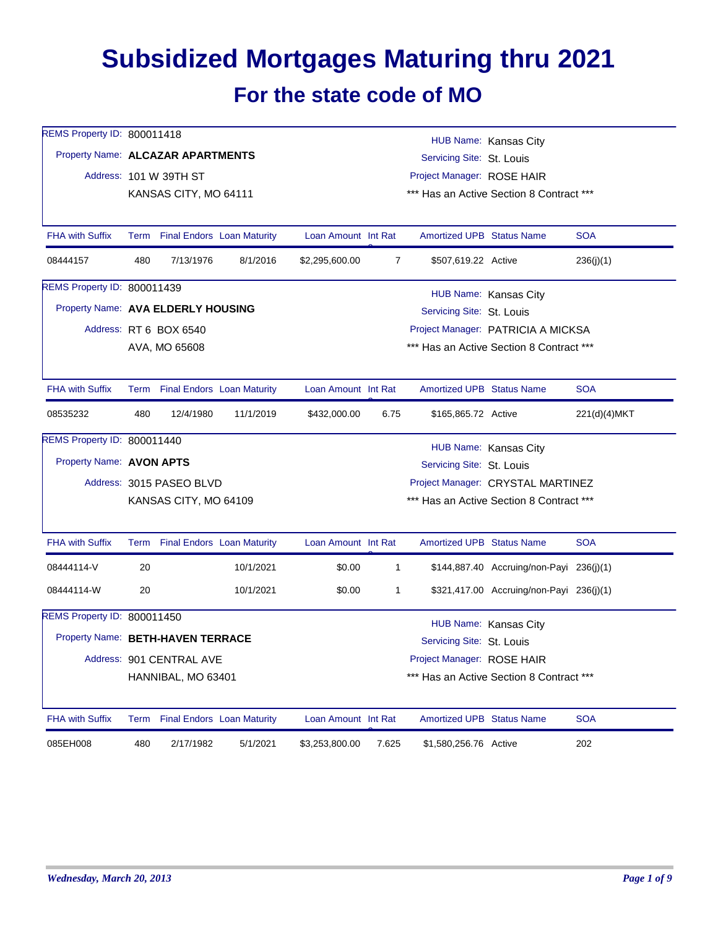## **Subsidized Mortgages Maturing thru 2021 For the state code of MO**

| REMS Property ID: 800011418        |     |                                                                                                                        |                                   |                                                    |                |                                  | HUB Name: Kansas City                    |              |  |  |
|------------------------------------|-----|------------------------------------------------------------------------------------------------------------------------|-----------------------------------|----------------------------------------------------|----------------|----------------------------------|------------------------------------------|--------------|--|--|
|                                    |     | Property Name: ALCAZAR APARTMENTS<br>Servicing Site: St. Louis<br>Address: 101 W 39TH ST<br>Project Manager: ROSE HAIR |                                   |                                                    |                |                                  |                                          |              |  |  |
|                                    |     |                                                                                                                        |                                   |                                                    |                |                                  |                                          |              |  |  |
|                                    |     | *** Has an Active Section 8 Contract ***<br>KANSAS CITY, MO 64111                                                      |                                   |                                                    |                |                                  |                                          |              |  |  |
| <b>FHA with Suffix</b>             |     | Term Final Endors Loan Maturity                                                                                        |                                   | Loan Amount Int Rat                                |                | <b>Amortized UPB Status Name</b> |                                          | <b>SOA</b>   |  |  |
| 08444157                           | 480 | 7/13/1976                                                                                                              | 8/1/2016                          | \$2,295,600.00                                     | $\overline{7}$ | \$507,619.22 Active              |                                          | 236(j)(1)    |  |  |
| REMS Property ID: 800011439        |     |                                                                                                                        |                                   |                                                    |                |                                  |                                          |              |  |  |
| Property Name: AVA ELDERLY HOUSING |     |                                                                                                                        |                                   | HUB Name: Kansas City<br>Servicing Site: St. Louis |                |                                  |                                          |              |  |  |
|                                    |     | Address: RT 6 BOX 6540                                                                                                 |                                   |                                                    |                |                                  | Project Manager: PATRICIA A MICKSA       |              |  |  |
|                                    |     | AVA, MO 65608                                                                                                          |                                   |                                                    |                |                                  | *** Has an Active Section 8 Contract *** |              |  |  |
| <b>FHA with Suffix</b>             |     | Term Final Endors Loan Maturity                                                                                        |                                   | Loan Amount Int Rat                                |                | Amortized UPB Status Name        |                                          | <b>SOA</b>   |  |  |
| 08535232                           | 480 | 12/4/1980                                                                                                              | 11/1/2019                         | \$432,000.00                                       | 6.75           | \$165,865.72 Active              |                                          | 221(d)(4)MKT |  |  |
| REMS Property ID: 800011440        |     |                                                                                                                        |                                   |                                                    |                |                                  | HUB Name: Kansas City                    |              |  |  |
| Property Name: AVON APTS           |     |                                                                                                                        |                                   |                                                    |                | Servicing Site: St. Louis        |                                          |              |  |  |
|                                    |     | Address: 3015 PASEO BLVD                                                                                               | Project Manager: CRYSTAL MARTINEZ |                                                    |                |                                  |                                          |              |  |  |
|                                    |     | KANSAS CITY, MO 64109                                                                                                  |                                   |                                                    |                |                                  | *** Has an Active Section 8 Contract *** |              |  |  |
| <b>FHA with Suffix</b>             |     | Term Final Endors Loan Maturity                                                                                        |                                   | Loan Amount Int Rat                                |                | Amortized UPB Status Name        |                                          | <b>SOA</b>   |  |  |
| 08444114-V                         | 20  |                                                                                                                        | 10/1/2021                         | \$0.00                                             | $\mathbf{1}$   |                                  | \$144,887.40 Accruing/non-Payi 236(j)(1) |              |  |  |
| 08444114-W                         | 20  |                                                                                                                        | 10/1/2021                         | \$0.00                                             | 1              |                                  | \$321,417.00 Accruing/non-Payi 236(j)(1) |              |  |  |
| REMS Property ID: 800011450        |     |                                                                                                                        |                                   |                                                    |                |                                  | HUB Name: Kansas City                    |              |  |  |
| Property Name: BETH-HAVEN TERRACE  |     |                                                                                                                        |                                   |                                                    |                | Servicing Site: St. Louis        |                                          |              |  |  |
|                                    |     | Address: 901 CENTRAL AVE                                                                                               |                                   |                                                    |                | Project Manager: ROSE HAIR       |                                          |              |  |  |
|                                    |     | HANNIBAL, MO 63401                                                                                                     |                                   |                                                    |                |                                  | *** Has an Active Section 8 Contract *** |              |  |  |
| <b>FHA with Suffix</b>             |     | Term Final Endors Loan Maturity                                                                                        |                                   | Loan Amount Int Rat                                |                | Amortized UPB Status Name        |                                          | <b>SOA</b>   |  |  |
| 085EH008                           | 480 | 2/17/1982                                                                                                              | 5/1/2021                          | \$3,253,800.00                                     | 7.625          | \$1,580,256.76 Active            |                                          | 202          |  |  |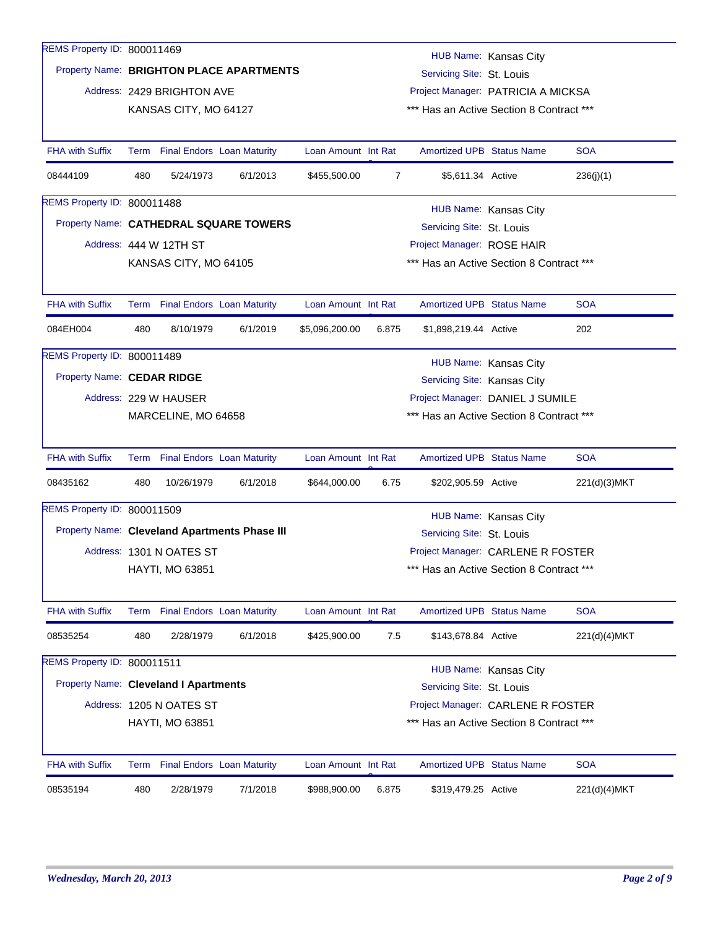| 8/10/1979<br>6/1/2019<br>Property Name: CEDAR RIDGE<br>Address: 229 W HAUSER<br>MARCELINE, MO 64658<br>Term Final Endors Loan Maturity<br>10/26/1979<br>6/1/2018<br>Property Name: Cleveland Apartments Phase III<br>Address: 1301 N OATES ST<br>HAYTI, MO 63851<br>Term Final Endors Loan Maturity<br>2/28/1979<br>6/1/2018<br>Property Name: Cleveland I Apartments<br>Address: 1205 N OATES ST<br>HAYTI, MO 63851<br>Term Final Endors Loan Maturity | \$5,096,200.00<br>Loan Amount Int Rat<br>\$644,000.00<br>Loan Amount Int Rat<br>\$425,900.00<br>Loan Amount Int Rat                           | 6.75<br>7.5                              | Servicing Site: Kansas City<br>*** Has an Active Section 8 Contract ***<br><b>Amortized UPB Status Name</b><br>\$202,905.59 Active<br>Servicing Site: St. Louis<br>*** Has an Active Section 8 Contract ***<br><b>Amortized UPB Status Name</b><br>\$143,678.84 Active<br>Servicing Site: St. Louis<br>*** Has an Active Section 8 Contract ***<br><b>Amortized UPB Status Name</b> | HUB Name: Kansas City<br>Project Manager: DANIEL J SUMILE<br>HUB Name: Kansas City<br>Project Manager: CARLENE R FOSTER<br>HUB Name: Kansas City<br>Project Manager: CARLENE R FOSTER | <b>SOA</b><br>221(d)(3)MKT<br><b>SOA</b><br>221(d)(4)MKT<br><b>SOA</b>                                                                                                                                                                              |
|---------------------------------------------------------------------------------------------------------------------------------------------------------------------------------------------------------------------------------------------------------------------------------------------------------------------------------------------------------------------------------------------------------------------------------------------------------|-----------------------------------------------------------------------------------------------------------------------------------------------|------------------------------------------|-------------------------------------------------------------------------------------------------------------------------------------------------------------------------------------------------------------------------------------------------------------------------------------------------------------------------------------------------------------------------------------|---------------------------------------------------------------------------------------------------------------------------------------------------------------------------------------|-----------------------------------------------------------------------------------------------------------------------------------------------------------------------------------------------------------------------------------------------------|
|                                                                                                                                                                                                                                                                                                                                                                                                                                                         |                                                                                                                                               |                                          |                                                                                                                                                                                                                                                                                                                                                                                     |                                                                                                                                                                                       |                                                                                                                                                                                                                                                     |
|                                                                                                                                                                                                                                                                                                                                                                                                                                                         |                                                                                                                                               |                                          |                                                                                                                                                                                                                                                                                                                                                                                     |                                                                                                                                                                                       |                                                                                                                                                                                                                                                     |
|                                                                                                                                                                                                                                                                                                                                                                                                                                                         |                                                                                                                                               |                                          |                                                                                                                                                                                                                                                                                                                                                                                     |                                                                                                                                                                                       |                                                                                                                                                                                                                                                     |
|                                                                                                                                                                                                                                                                                                                                                                                                                                                         |                                                                                                                                               |                                          |                                                                                                                                                                                                                                                                                                                                                                                     |                                                                                                                                                                                       |                                                                                                                                                                                                                                                     |
|                                                                                                                                                                                                                                                                                                                                                                                                                                                         |                                                                                                                                               |                                          |                                                                                                                                                                                                                                                                                                                                                                                     |                                                                                                                                                                                       |                                                                                                                                                                                                                                                     |
|                                                                                                                                                                                                                                                                                                                                                                                                                                                         |                                                                                                                                               |                                          |                                                                                                                                                                                                                                                                                                                                                                                     |                                                                                                                                                                                       |                                                                                                                                                                                                                                                     |
|                                                                                                                                                                                                                                                                                                                                                                                                                                                         |                                                                                                                                               |                                          |                                                                                                                                                                                                                                                                                                                                                                                     |                                                                                                                                                                                       |                                                                                                                                                                                                                                                     |
|                                                                                                                                                                                                                                                                                                                                                                                                                                                         |                                                                                                                                               |                                          |                                                                                                                                                                                                                                                                                                                                                                                     |                                                                                                                                                                                       |                                                                                                                                                                                                                                                     |
|                                                                                                                                                                                                                                                                                                                                                                                                                                                         |                                                                                                                                               |                                          |                                                                                                                                                                                                                                                                                                                                                                                     |                                                                                                                                                                                       |                                                                                                                                                                                                                                                     |
|                                                                                                                                                                                                                                                                                                                                                                                                                                                         |                                                                                                                                               |                                          |                                                                                                                                                                                                                                                                                                                                                                                     |                                                                                                                                                                                       |                                                                                                                                                                                                                                                     |
|                                                                                                                                                                                                                                                                                                                                                                                                                                                         |                                                                                                                                               |                                          |                                                                                                                                                                                                                                                                                                                                                                                     |                                                                                                                                                                                       |                                                                                                                                                                                                                                                     |
|                                                                                                                                                                                                                                                                                                                                                                                                                                                         |                                                                                                                                               |                                          |                                                                                                                                                                                                                                                                                                                                                                                     |                                                                                                                                                                                       |                                                                                                                                                                                                                                                     |
|                                                                                                                                                                                                                                                                                                                                                                                                                                                         |                                                                                                                                               |                                          |                                                                                                                                                                                                                                                                                                                                                                                     |                                                                                                                                                                                       |                                                                                                                                                                                                                                                     |
|                                                                                                                                                                                                                                                                                                                                                                                                                                                         |                                                                                                                                               |                                          |                                                                                                                                                                                                                                                                                                                                                                                     |                                                                                                                                                                                       |                                                                                                                                                                                                                                                     |
|                                                                                                                                                                                                                                                                                                                                                                                                                                                         |                                                                                                                                               |                                          |                                                                                                                                                                                                                                                                                                                                                                                     |                                                                                                                                                                                       |                                                                                                                                                                                                                                                     |
|                                                                                                                                                                                                                                                                                                                                                                                                                                                         |                                                                                                                                               |                                          |                                                                                                                                                                                                                                                                                                                                                                                     |                                                                                                                                                                                       |                                                                                                                                                                                                                                                     |
|                                                                                                                                                                                                                                                                                                                                                                                                                                                         |                                                                                                                                               |                                          |                                                                                                                                                                                                                                                                                                                                                                                     |                                                                                                                                                                                       |                                                                                                                                                                                                                                                     |
|                                                                                                                                                                                                                                                                                                                                                                                                                                                         |                                                                                                                                               |                                          |                                                                                                                                                                                                                                                                                                                                                                                     |                                                                                                                                                                                       |                                                                                                                                                                                                                                                     |
|                                                                                                                                                                                                                                                                                                                                                                                                                                                         |                                                                                                                                               |                                          |                                                                                                                                                                                                                                                                                                                                                                                     |                                                                                                                                                                                       |                                                                                                                                                                                                                                                     |
|                                                                                                                                                                                                                                                                                                                                                                                                                                                         |                                                                                                                                               | 6.875                                    | \$1,898,219.44 Active                                                                                                                                                                                                                                                                                                                                                               |                                                                                                                                                                                       | 202                                                                                                                                                                                                                                                 |
| Term Final Endors Loan Maturity                                                                                                                                                                                                                                                                                                                                                                                                                         | Loan Amount Int Rat                                                                                                                           |                                          | <b>Amortized UPB Status Name</b>                                                                                                                                                                                                                                                                                                                                                    |                                                                                                                                                                                       | <b>SOA</b>                                                                                                                                                                                                                                          |
|                                                                                                                                                                                                                                                                                                                                                                                                                                                         |                                                                                                                                               |                                          |                                                                                                                                                                                                                                                                                                                                                                                     |                                                                                                                                                                                       |                                                                                                                                                                                                                                                     |
| KANSAS CITY, MO 64105                                                                                                                                                                                                                                                                                                                                                                                                                                   |                                                                                                                                               |                                          | *** Has an Active Section 8 Contract ***                                                                                                                                                                                                                                                                                                                                            |                                                                                                                                                                                       |                                                                                                                                                                                                                                                     |
| Address: 444 W 12TH ST                                                                                                                                                                                                                                                                                                                                                                                                                                  |                                                                                                                                               |                                          | Project Manager: ROSE HAIR                                                                                                                                                                                                                                                                                                                                                          |                                                                                                                                                                                       |                                                                                                                                                                                                                                                     |
|                                                                                                                                                                                                                                                                                                                                                                                                                                                         |                                                                                                                                               |                                          |                                                                                                                                                                                                                                                                                                                                                                                     |                                                                                                                                                                                       |                                                                                                                                                                                                                                                     |
|                                                                                                                                                                                                                                                                                                                                                                                                                                                         |                                                                                                                                               |                                          |                                                                                                                                                                                                                                                                                                                                                                                     |                                                                                                                                                                                       |                                                                                                                                                                                                                                                     |
| 6/1/2013                                                                                                                                                                                                                                                                                                                                                                                                                                                | \$455,500.00                                                                                                                                  |                                          |                                                                                                                                                                                                                                                                                                                                                                                     |                                                                                                                                                                                       | 236(i)(1)                                                                                                                                                                                                                                           |
|                                                                                                                                                                                                                                                                                                                                                                                                                                                         |                                                                                                                                               |                                          |                                                                                                                                                                                                                                                                                                                                                                                     |                                                                                                                                                                                       | <b>SOA</b>                                                                                                                                                                                                                                          |
|                                                                                                                                                                                                                                                                                                                                                                                                                                                         |                                                                                                                                               |                                          |                                                                                                                                                                                                                                                                                                                                                                                     |                                                                                                                                                                                       |                                                                                                                                                                                                                                                     |
|                                                                                                                                                                                                                                                                                                                                                                                                                                                         |                                                                                                                                               |                                          |                                                                                                                                                                                                                                                                                                                                                                                     |                                                                                                                                                                                       |                                                                                                                                                                                                                                                     |
|                                                                                                                                                                                                                                                                                                                                                                                                                                                         |                                                                                                                                               |                                          |                                                                                                                                                                                                                                                                                                                                                                                     |                                                                                                                                                                                       |                                                                                                                                                                                                                                                     |
|                                                                                                                                                                                                                                                                                                                                                                                                                                                         |                                                                                                                                               |                                          |                                                                                                                                                                                                                                                                                                                                                                                     |                                                                                                                                                                                       |                                                                                                                                                                                                                                                     |
|                                                                                                                                                                                                                                                                                                                                                                                                                                                         | Address: 2429 BRIGHTON AVE<br>KANSAS CITY, MO 64127<br>Term Final Endors Loan Maturity<br>5/24/1973<br>Property Name: CATHEDRAL SQUARE TOWERS | Property Name: BRIGHTON PLACE APARTMENTS | Loan Amount Int Rat                                                                                                                                                                                                                                                                                                                                                                 | 7                                                                                                                                                                                     | HUB Name: Kansas City<br>Servicing Site: St. Louis<br>Project Manager: PATRICIA A MICKSA<br>*** Has an Active Section 8 Contract ***<br><b>Amortized UPB Status Name</b><br>\$5,611.34 Active<br>HUB Name: Kansas City<br>Servicing Site: St. Louis |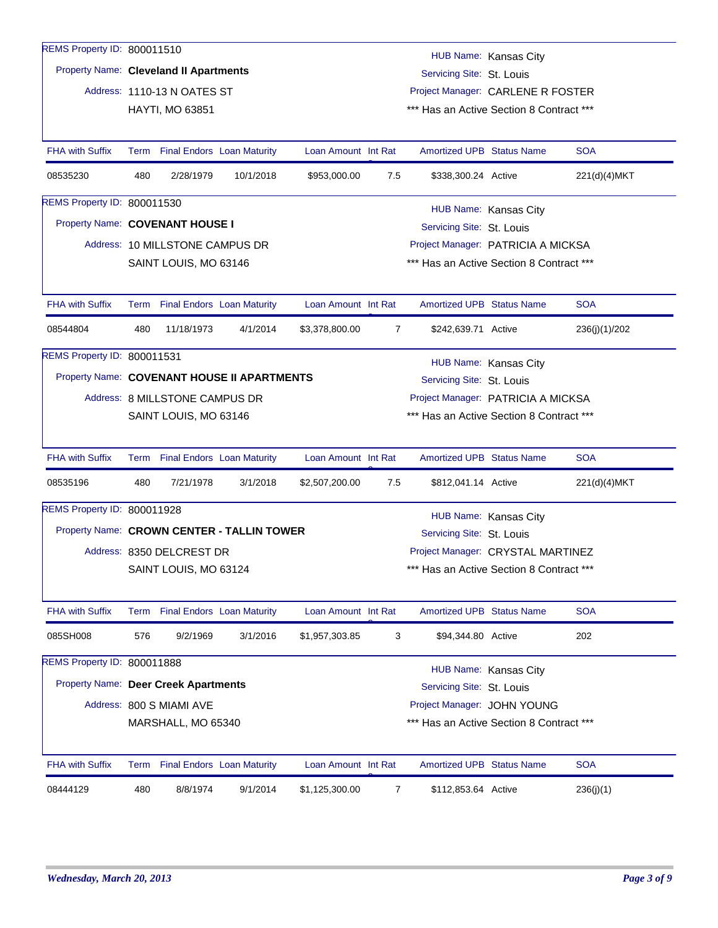| REMS Property ID: 800011510                |                                                                                                   |                                                              |          |                     |                |                                          | HUB Name: Kansas City |               |  |  |  |  |
|--------------------------------------------|---------------------------------------------------------------------------------------------------|--------------------------------------------------------------|----------|---------------------|----------------|------------------------------------------|-----------------------|---------------|--|--|--|--|
|                                            | Property Name: Cleveland II Apartments<br>Servicing Site: St. Louis                               |                                                              |          |                     |                |                                          |                       |               |  |  |  |  |
|                                            |                                                                                                   | Address: 1110-13 N OATES ST                                  |          |                     |                | Project Manager: CARLENE R FOSTER        |                       |               |  |  |  |  |
|                                            |                                                                                                   | <b>HAYTI, MO 63851</b>                                       |          |                     |                | *** Has an Active Section 8 Contract *** |                       |               |  |  |  |  |
|                                            |                                                                                                   |                                                              |          |                     |                |                                          |                       |               |  |  |  |  |
| <b>FHA with Suffix</b>                     |                                                                                                   | Term Final Endors Loan Maturity                              |          | Loan Amount Int Rat |                | <b>Amortized UPB Status Name</b>         |                       | <b>SOA</b>    |  |  |  |  |
| 08535230                                   | 480<br>2/28/1979<br>10/1/2018<br>\$953,000.00<br>7.5<br>\$338,300.24 Active<br>221(d)(4)MKT       |                                                              |          |                     |                |                                          |                       |               |  |  |  |  |
| REMS Property ID: 800011530                | HUB Name: Kansas City                                                                             |                                                              |          |                     |                |                                          |                       |               |  |  |  |  |
|                                            |                                                                                                   | Property Name: COVENANT HOUSE I<br>Servicing Site: St. Louis |          |                     |                |                                          |                       |               |  |  |  |  |
|                                            |                                                                                                   | Address: 10 MILLSTONE CAMPUS DR                              |          |                     |                | Project Manager: PATRICIA A MICKSA       |                       |               |  |  |  |  |
|                                            |                                                                                                   | SAINT LOUIS, MO 63146                                        |          |                     |                | *** Has an Active Section 8 Contract *** |                       |               |  |  |  |  |
|                                            |                                                                                                   |                                                              |          |                     |                |                                          |                       |               |  |  |  |  |
| <b>FHA with Suffix</b>                     |                                                                                                   | Term Final Endors Loan Maturity                              |          | Loan Amount Int Rat |                | <b>Amortized UPB Status Name</b>         |                       | <b>SOA</b>    |  |  |  |  |
| 08544804                                   | 480                                                                                               | 11/18/1973                                                   | 4/1/2014 | \$3,378,800.00      | $\overline{7}$ | \$242,639.71 Active                      |                       | 236(j)(1)/202 |  |  |  |  |
| REMS Property ID: 800011531                |                                                                                                   |                                                              |          |                     |                |                                          |                       |               |  |  |  |  |
|                                            | HUB Name: Kansas City<br>Property Name: COVENANT HOUSE II APARTMENTS<br>Servicing Site: St. Louis |                                                              |          |                     |                |                                          |                       |               |  |  |  |  |
|                                            |                                                                                                   | Address: 8 MILLSTONE CAMPUS DR                               |          |                     |                | Project Manager: PATRICIA A MICKSA       |                       |               |  |  |  |  |
|                                            |                                                                                                   | SAINT LOUIS, MO 63146                                        |          |                     |                | *** Has an Active Section 8 Contract *** |                       |               |  |  |  |  |
|                                            |                                                                                                   |                                                              |          |                     |                |                                          |                       |               |  |  |  |  |
| <b>FHA with Suffix</b>                     |                                                                                                   | Term Final Endors Loan Maturity                              |          | Loan Amount Int Rat |                | <b>Amortized UPB Status Name</b>         |                       | <b>SOA</b>    |  |  |  |  |
| 08535196                                   | 480                                                                                               | 7/21/1978                                                    | 3/1/2018 | \$2,507,200.00      | 7.5            | \$812,041.14 Active                      |                       | 221(d)(4)MKT  |  |  |  |  |
| REMS Property ID: 800011928                |                                                                                                   |                                                              |          |                     |                |                                          | HUB Name: Kansas City |               |  |  |  |  |
| Property Name: CROWN CENTER - TALLIN TOWER |                                                                                                   |                                                              |          |                     |                | Servicing Site: St. Louis                |                       |               |  |  |  |  |
|                                            |                                                                                                   | Address: 8350 DELCREST DR                                    |          |                     |                | Project Manager: CRYSTAL MARTINEZ        |                       |               |  |  |  |  |
|                                            |                                                                                                   | SAINT LOUIS, MO 63124                                        |          |                     |                | *** Has an Active Section 8 Contract *** |                       |               |  |  |  |  |
|                                            |                                                                                                   |                                                              |          |                     |                |                                          |                       |               |  |  |  |  |
| <b>FHA with Suffix</b>                     |                                                                                                   | Term Final Endors Loan Maturity                              |          | Loan Amount Int Rat |                | <b>Amortized UPB Status Name</b>         |                       | <b>SOA</b>    |  |  |  |  |
| 085SH008                                   | 576                                                                                               | 9/2/1969                                                     | 3/1/2016 | \$1,957,303.85      | 3              | \$94.344.80 Active                       |                       | 202           |  |  |  |  |
| REMS Property ID: 800011888                |                                                                                                   |                                                              |          |                     |                |                                          | HUB Name: Kansas City |               |  |  |  |  |
| Property Name: Deer Creek Apartments       |                                                                                                   |                                                              |          |                     |                | Servicing Site: St. Louis                |                       |               |  |  |  |  |
|                                            |                                                                                                   | Address: 800 S MIAMI AVE                                     |          |                     |                | Project Manager: JOHN YOUNG              |                       |               |  |  |  |  |
|                                            |                                                                                                   | MARSHALL, MO 65340                                           |          |                     |                | *** Has an Active Section 8 Contract *** |                       |               |  |  |  |  |
|                                            |                                                                                                   |                                                              |          |                     |                |                                          |                       |               |  |  |  |  |
| <b>FHA with Suffix</b>                     |                                                                                                   | Term Final Endors Loan Maturity                              |          | Loan Amount Int Rat |                | <b>Amortized UPB Status Name</b>         |                       | <b>SOA</b>    |  |  |  |  |
| 08444129                                   | 480                                                                                               | 8/8/1974                                                     | 9/1/2014 | \$1,125,300.00      | 7              | \$112,853.64 Active                      |                       | 236(j)(1)     |  |  |  |  |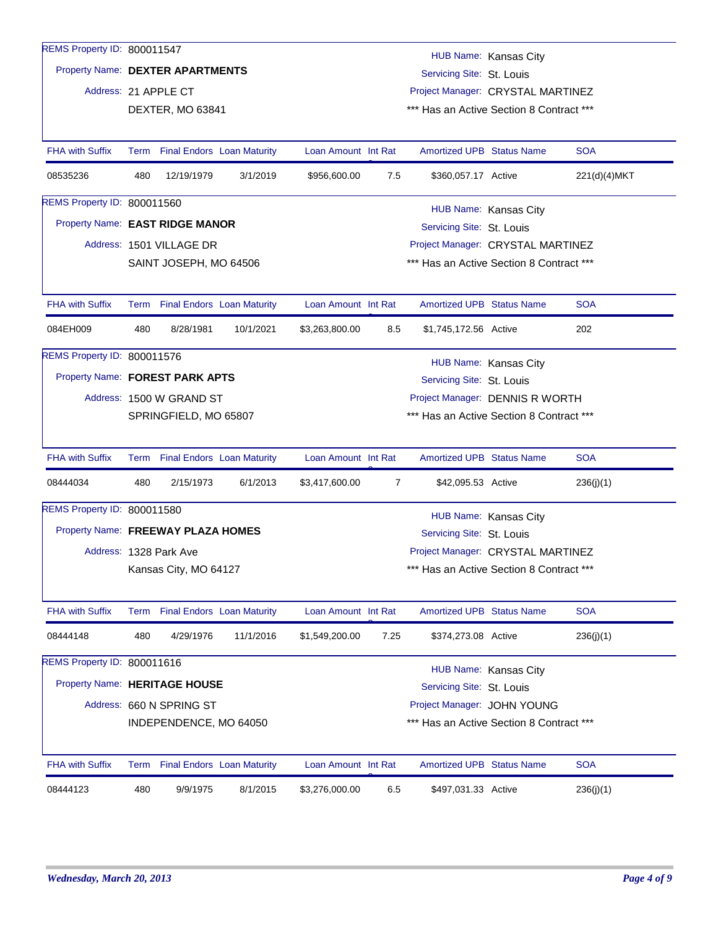| REMS Property ID: 800011547        |                                                                                       |                                                               |           |                     |                |                                          | HUB Name: Kansas City |              |  |  |  |  |
|------------------------------------|---------------------------------------------------------------------------------------|---------------------------------------------------------------|-----------|---------------------|----------------|------------------------------------------|-----------------------|--------------|--|--|--|--|
|                                    |                                                                                       | Property Name: DEXTER APARTMENTS<br>Servicing Site: St. Louis |           |                     |                |                                          |                       |              |  |  |  |  |
|                                    | Address: 21 APPLE CT<br>Project Manager: CRYSTAL MARTINEZ                             |                                                               |           |                     |                |                                          |                       |              |  |  |  |  |
|                                    |                                                                                       | DEXTER, MO 63841                                              |           |                     |                | *** Has an Active Section 8 Contract *** |                       |              |  |  |  |  |
|                                    |                                                                                       |                                                               |           |                     |                |                                          |                       |              |  |  |  |  |
| <b>FHA with Suffix</b>             |                                                                                       | Term Final Endors Loan Maturity                               |           | Loan Amount Int Rat |                | <b>Amortized UPB Status Name</b>         |                       | <b>SOA</b>   |  |  |  |  |
| 08535236                           | 480                                                                                   | 12/19/1979                                                    | 3/1/2019  | \$956,600.00        | 7.5            | \$360,057.17 Active                      |                       | 221(d)(4)MKT |  |  |  |  |
| REMS Property ID: 800011560        |                                                                                       |                                                               |           |                     |                |                                          |                       |              |  |  |  |  |
|                                    | HUB Name: Kansas City<br>Property Name: EAST RIDGE MANOR<br>Servicing Site: St. Louis |                                                               |           |                     |                |                                          |                       |              |  |  |  |  |
|                                    |                                                                                       | Address: 1501 VILLAGE DR                                      |           |                     |                | Project Manager: CRYSTAL MARTINEZ        |                       |              |  |  |  |  |
|                                    |                                                                                       | SAINT JOSEPH, MO 64506                                        |           |                     |                | *** Has an Active Section 8 Contract *** |                       |              |  |  |  |  |
|                                    |                                                                                       |                                                               |           |                     |                |                                          |                       |              |  |  |  |  |
| <b>FHA with Suffix</b>             |                                                                                       | Term Final Endors Loan Maturity                               |           | Loan Amount Int Rat |                | <b>Amortized UPB Status Name</b>         |                       | <b>SOA</b>   |  |  |  |  |
| 084EH009                           | 480                                                                                   | 8/28/1981                                                     | 10/1/2021 | \$3,263,800.00      | 8.5            | \$1,745,172.56 Active                    |                       | 202          |  |  |  |  |
| REMS Property ID: 800011576        |                                                                                       |                                                               |           |                     |                |                                          |                       |              |  |  |  |  |
|                                    | HUB Name: Kansas City<br>Property Name: FOREST PARK APTS<br>Servicing Site: St. Louis |                                                               |           |                     |                |                                          |                       |              |  |  |  |  |
|                                    | Project Manager: DENNIS R WORTH<br>Address: 1500 W GRAND ST                           |                                                               |           |                     |                |                                          |                       |              |  |  |  |  |
|                                    | SPRINGFIELD, MO 65807<br>*** Has an Active Section 8 Contract ***                     |                                                               |           |                     |                |                                          |                       |              |  |  |  |  |
|                                    |                                                                                       |                                                               |           |                     |                |                                          |                       |              |  |  |  |  |
| <b>FHA with Suffix</b>             |                                                                                       | Term Final Endors Loan Maturity                               |           | Loan Amount Int Rat |                | <b>Amortized UPB Status Name</b>         |                       | <b>SOA</b>   |  |  |  |  |
| 08444034                           | 480                                                                                   | 2/15/1973                                                     | 6/1/2013  | \$3,417,600.00      | $\overline{7}$ | \$42,095.53 Active                       |                       | 236(j)(1)    |  |  |  |  |
| REMS Property ID: 800011580        |                                                                                       |                                                               |           |                     |                |                                          | HUB Name: Kansas City |              |  |  |  |  |
| Property Name: FREEWAY PLAZA HOMES |                                                                                       |                                                               |           |                     |                | Servicing Site: St. Louis                |                       |              |  |  |  |  |
|                                    |                                                                                       | Address: 1328 Park Ave                                        |           |                     |                | Project Manager: CRYSTAL MARTINEZ        |                       |              |  |  |  |  |
|                                    |                                                                                       | Kansas City, MO 64127                                         |           |                     |                | *** Has an Active Section 8 Contract *** |                       |              |  |  |  |  |
|                                    |                                                                                       |                                                               |           |                     |                |                                          |                       |              |  |  |  |  |
| <b>FHA with Suffix</b>             |                                                                                       | Term Final Endors Loan Maturity                               |           | Loan Amount Int Rat |                | Amortized UPB Status Name                |                       | <b>SOA</b>   |  |  |  |  |
| 08444148                           | 480                                                                                   | 4/29/1976                                                     | 11/1/2016 | \$1,549,200.00      | 7.25           | \$374,273.08 Active                      |                       | 236(j)(1)    |  |  |  |  |
| REMS Property ID: 800011616        |                                                                                       |                                                               |           |                     |                |                                          |                       |              |  |  |  |  |
| Property Name: HERITAGE HOUSE      |                                                                                       |                                                               |           |                     |                | Servicing Site: St. Louis                | HUB Name: Kansas City |              |  |  |  |  |
|                                    |                                                                                       | Address: 660 N SPRING ST                                      |           |                     |                | Project Manager: JOHN YOUNG              |                       |              |  |  |  |  |
|                                    |                                                                                       | INDEPENDENCE, MO 64050                                        |           |                     |                | *** Has an Active Section 8 Contract *** |                       |              |  |  |  |  |
|                                    |                                                                                       |                                                               |           |                     |                |                                          |                       |              |  |  |  |  |
| <b>FHA with Suffix</b>             |                                                                                       | Term Final Endors Loan Maturity                               |           | Loan Amount Int Rat |                | <b>Amortized UPB Status Name</b>         |                       | <b>SOA</b>   |  |  |  |  |
| 08444123                           | 480                                                                                   | 9/9/1975                                                      | 8/1/2015  | \$3,276,000.00      | 6.5            | \$497,031.33 Active                      |                       | 236(j)(1)    |  |  |  |  |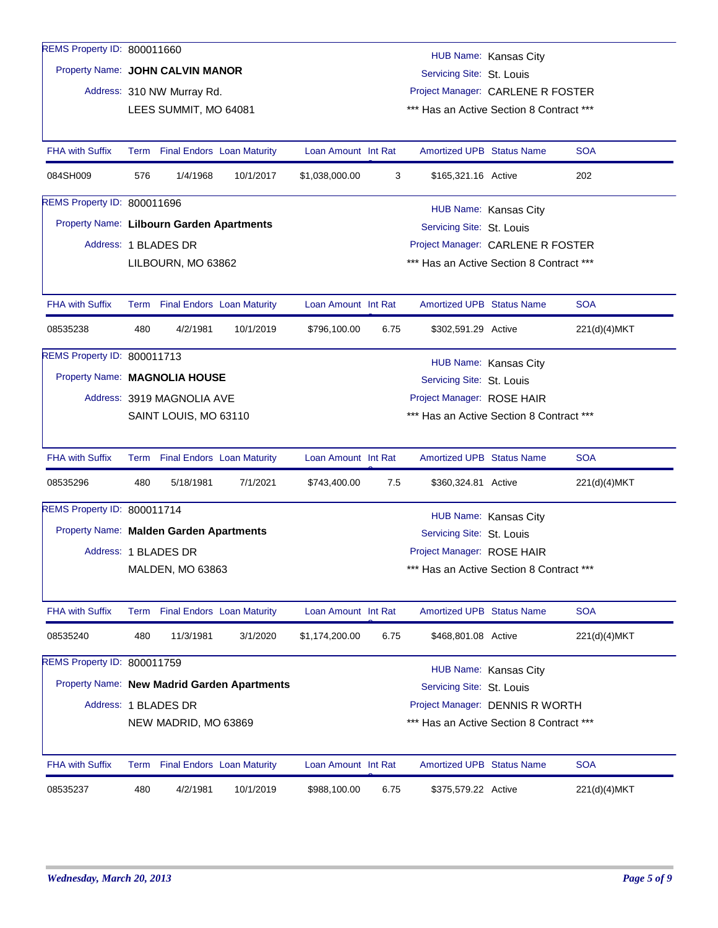| REMS Property ID: 800011660               |                       |                                 |                                             |                                                   |      |                                          |                       |              |  |  |  |
|-------------------------------------------|-----------------------|---------------------------------|---------------------------------------------|---------------------------------------------------|------|------------------------------------------|-----------------------|--------------|--|--|--|
|                                           | HUB Name: Kansas City |                                 |                                             |                                                   |      |                                          |                       |              |  |  |  |
| Property Name: JOHN CALVIN MANOR          |                       |                                 |                                             |                                                   |      | Servicing Site: St. Louis                |                       |              |  |  |  |
|                                           |                       | Address: 310 NW Murray Rd.      |                                             |                                                   |      | Project Manager: CARLENE R FOSTER        |                       |              |  |  |  |
|                                           |                       | LEES SUMMIT, MO 64081           |                                             | *** Has an Active Section 8 Contract ***          |      |                                          |                       |              |  |  |  |
|                                           |                       |                                 |                                             |                                                   |      |                                          |                       |              |  |  |  |
| <b>FHA with Suffix</b>                    |                       |                                 | Term Final Endors Loan Maturity             | Loan Amount Int Rat                               |      | <b>Amortized UPB Status Name</b>         |                       | <b>SOA</b>   |  |  |  |
| 084SH009                                  | 576                   | 1/4/1968                        | 10/1/2017                                   | \$1,038,000.00<br>3<br>\$165,321.16 Active<br>202 |      |                                          |                       |              |  |  |  |
| REMS Property ID: 800011696               | HUB Name: Kansas City |                                 |                                             |                                                   |      |                                          |                       |              |  |  |  |
| Property Name: Lilbourn Garden Apartments |                       |                                 |                                             |                                                   |      | Servicing Site: St. Louis                |                       |              |  |  |  |
|                                           |                       | Address: 1 BLADES DR            |                                             |                                                   |      | Project Manager: CARLENE R FOSTER        |                       |              |  |  |  |
|                                           |                       | LILBOURN, MO 63862              |                                             |                                                   |      | *** Has an Active Section 8 Contract *** |                       |              |  |  |  |
|                                           |                       |                                 |                                             |                                                   |      |                                          |                       |              |  |  |  |
| <b>FHA with Suffix</b>                    |                       | Term Final Endors Loan Maturity |                                             | Loan Amount Int Rat                               |      | <b>Amortized UPB Status Name</b>         |                       | <b>SOA</b>   |  |  |  |
| 08535238                                  | 480                   | 4/2/1981                        | 10/1/2019                                   | \$796,100.00                                      | 6.75 | \$302,591.29 Active                      |                       | 221(d)(4)MKT |  |  |  |
| REMS Property ID: 800011713               |                       |                                 |                                             |                                                   |      |                                          | HUB Name: Kansas City |              |  |  |  |
| Property Name: MAGNOLIA HOUSE             |                       |                                 |                                             |                                                   |      | Servicing Site: St. Louis                |                       |              |  |  |  |
|                                           |                       | Address: 3919 MAGNOLIA AVE      |                                             |                                                   |      | Project Manager: ROSE HAIR               |                       |              |  |  |  |
|                                           |                       | SAINT LOUIS, MO 63110           |                                             |                                                   |      | *** Has an Active Section 8 Contract *** |                       |              |  |  |  |
|                                           |                       |                                 |                                             |                                                   |      |                                          |                       |              |  |  |  |
| <b>FHA with Suffix</b>                    |                       | Term Final Endors Loan Maturity |                                             | Loan Amount Int Rat                               |      | <b>Amortized UPB Status Name</b>         |                       | <b>SOA</b>   |  |  |  |
| 08535296                                  | 480                   | 5/18/1981                       | 7/1/2021                                    | \$743,400.00                                      | 7.5  | \$360,324.81 Active                      |                       | 221(d)(4)MKT |  |  |  |
| REMS Property ID: 800011714               |                       |                                 |                                             |                                                   |      |                                          | HUB Name: Kansas City |              |  |  |  |
| Property Name: Malden Garden Apartments   |                       |                                 |                                             |                                                   |      | Servicing Site: St. Louis                |                       |              |  |  |  |
|                                           |                       | Address: 1 BLADES DR            |                                             |                                                   |      | Project Manager: ROSE HAIR               |                       |              |  |  |  |
|                                           |                       | MALDEN, MO 63863                |                                             |                                                   |      | *** Has an Active Section 8 Contract *** |                       |              |  |  |  |
|                                           |                       |                                 |                                             |                                                   |      |                                          |                       |              |  |  |  |
| <b>FHA with Suffix</b>                    |                       |                                 | Term Final Endors Loan Maturity             | Loan Amount Int Rat                               |      | <b>Amortized UPB Status Name</b>         |                       | <b>SOA</b>   |  |  |  |
| 08535240                                  | 480                   | 11/3/1981                       | 3/1/2020                                    | \$1,174,200.00                                    | 6.75 | \$468,801.08 Active                      |                       | 221(d)(4)MKT |  |  |  |
| REMS Property ID: 800011759               |                       |                                 |                                             |                                                   |      |                                          | HUB Name: Kansas City |              |  |  |  |
|                                           |                       |                                 | Property Name: New Madrid Garden Apartments |                                                   |      | Servicing Site: St. Louis                |                       |              |  |  |  |
|                                           |                       | Address: 1 BLADES DR            |                                             |                                                   |      | Project Manager: DENNIS R WORTH          |                       |              |  |  |  |
|                                           |                       | NEW MADRID, MO 63869            |                                             |                                                   |      | *** Has an Active Section 8 Contract *** |                       |              |  |  |  |
|                                           |                       |                                 |                                             |                                                   |      |                                          |                       |              |  |  |  |
| <b>FHA with Suffix</b>                    | Term                  |                                 | <b>Final Endors</b> Loan Maturity           | Loan Amount Int Rat                               |      | <b>Amortized UPB Status Name</b>         |                       | <b>SOA</b>   |  |  |  |
| 08535237                                  | 480                   | 4/2/1981                        | 10/1/2019                                   | \$988,100.00                                      | 6.75 | \$375,579.22 Active                      |                       | 221(d)(4)MKT |  |  |  |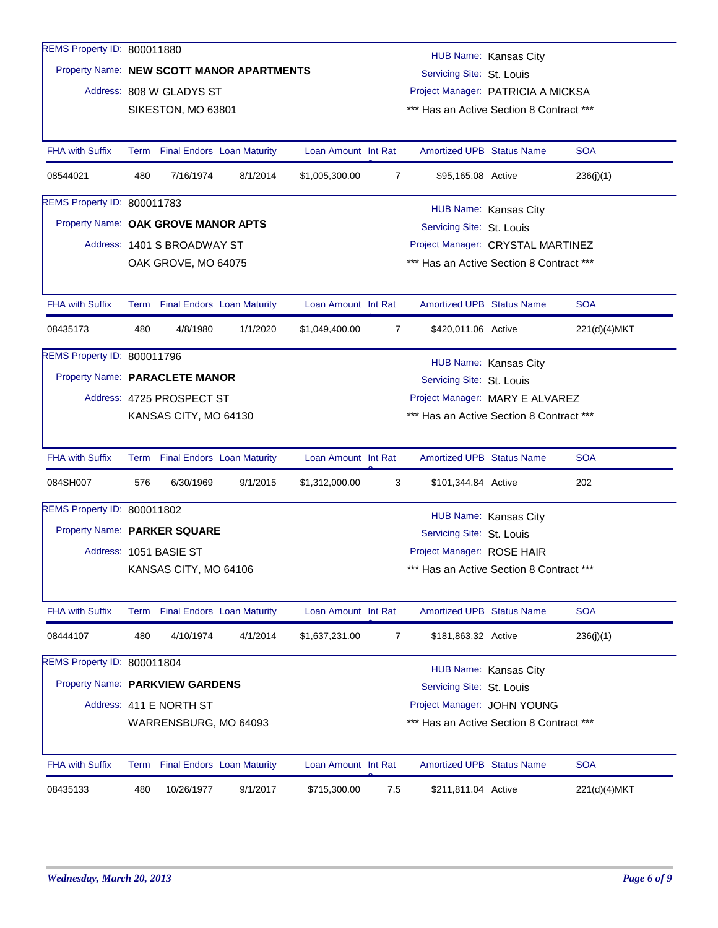| REMS Property ID: 800011880  |                       |                                           |          |                     |     |                                                    |                       |              |  |  |  |
|------------------------------|-----------------------|-------------------------------------------|----------|---------------------|-----|----------------------------------------------------|-----------------------|--------------|--|--|--|
|                              |                       | Property Name: NEW SCOTT MANOR APARTMENTS |          |                     |     | HUB Name: Kansas City<br>Servicing Site: St. Louis |                       |              |  |  |  |
|                              |                       | Address: 808 W GLADYS ST                  |          |                     |     | Project Manager: PATRICIA A MICKSA                 |                       |              |  |  |  |
|                              |                       | SIKESTON, MO 63801                        |          |                     |     | *** Has an Active Section 8 Contract ***           |                       |              |  |  |  |
|                              |                       |                                           |          |                     |     |                                                    |                       |              |  |  |  |
| <b>FHA with Suffix</b>       |                       | Term Final Endors Loan Maturity           |          | Loan Amount Int Rat |     | <b>Amortized UPB Status Name</b>                   |                       | <b>SOA</b>   |  |  |  |
| 08544021                     | 480                   | 7/16/1974                                 | 8/1/2014 | \$1,005,300.00      | 7   | \$95,165.08 Active                                 |                       | 236(i)(1)    |  |  |  |
| REMS Property ID: 800011783  | HUB Name: Kansas City |                                           |          |                     |     |                                                    |                       |              |  |  |  |
|                              |                       | Property Name: OAK GROVE MANOR APTS       |          |                     |     | Servicing Site: St. Louis                          |                       |              |  |  |  |
|                              |                       | Address: 1401 S BROADWAY ST               |          |                     |     | Project Manager: CRYSTAL MARTINEZ                  |                       |              |  |  |  |
|                              |                       | OAK GROVE, MO 64075                       |          |                     |     | *** Has an Active Section 8 Contract ***           |                       |              |  |  |  |
|                              |                       |                                           |          |                     |     |                                                    |                       |              |  |  |  |
| <b>FHA with Suffix</b>       |                       | Term Final Endors Loan Maturity           |          | Loan Amount Int Rat |     | <b>Amortized UPB Status Name</b>                   |                       | <b>SOA</b>   |  |  |  |
| 08435173                     | 480                   | 4/8/1980                                  | 1/1/2020 | \$1,049,400.00      | 7   | \$420,011.06 Active                                |                       | 221(d)(4)MKT |  |  |  |
| REMS Property ID: 800011796  |                       |                                           |          |                     |     |                                                    | HUB Name: Kansas City |              |  |  |  |
|                              |                       | Property Name: PARACLETE MANOR            |          |                     |     | Servicing Site: St. Louis                          |                       |              |  |  |  |
|                              |                       | Address: 4725 PROSPECT ST                 |          |                     |     | Project Manager: MARY E ALVAREZ                    |                       |              |  |  |  |
|                              |                       | KANSAS CITY, MO 64130                     |          |                     |     | *** Has an Active Section 8 Contract ***           |                       |              |  |  |  |
|                              |                       |                                           |          |                     |     |                                                    |                       |              |  |  |  |
| <b>FHA with Suffix</b>       |                       | Term Final Endors Loan Maturity           |          | Loan Amount Int Rat |     | <b>Amortized UPB Status Name</b>                   |                       | <b>SOA</b>   |  |  |  |
| 084SH007                     | 576                   | 6/30/1969                                 | 9/1/2015 | \$1,312,000.00      | 3   | \$101,344.84 Active                                |                       | 202          |  |  |  |
| REMS Property ID: 800011802  |                       |                                           |          |                     |     |                                                    |                       |              |  |  |  |
| Property Name: PARKER SQUARE |                       |                                           |          |                     |     | HUB Name: Kansas City<br>Servicing Site: St. Louis |                       |              |  |  |  |
|                              |                       | Address: 1051 BASIE ST                    |          |                     |     | Project Manager: ROSE HAIR                         |                       |              |  |  |  |
|                              |                       | KANSAS CITY, MO 64106                     |          |                     |     | *** Has an Active Section 8 Contract ***           |                       |              |  |  |  |
|                              |                       |                                           |          |                     |     |                                                    |                       |              |  |  |  |
| <b>FHA with Suffix</b>       |                       | Term Final Endors Loan Maturity           |          | Loan Amount Int Rat |     | Amortized UPB Status Name                          |                       | <b>SOA</b>   |  |  |  |
| 08444107                     | 480                   | 4/10/1974                                 | 4/1/2014 | \$1,637,231.00      | 7   | \$181,863.32 Active                                |                       | 236(j)(1)    |  |  |  |
| REMS Property ID: 800011804  |                       |                                           |          |                     |     |                                                    | HUB Name: Kansas City |              |  |  |  |
|                              |                       | Property Name: PARKVIEW GARDENS           |          |                     |     | Servicing Site: St. Louis                          |                       |              |  |  |  |
|                              |                       | Address: 411 E NORTH ST                   |          |                     |     | Project Manager: JOHN YOUNG                        |                       |              |  |  |  |
|                              |                       | WARRENSBURG, MO 64093                     |          |                     |     | *** Has an Active Section 8 Contract ***           |                       |              |  |  |  |
|                              |                       |                                           |          |                     |     |                                                    |                       |              |  |  |  |
| <b>FHA with Suffix</b>       |                       | Term Final Endors Loan Maturity           |          | Loan Amount Int Rat |     | Amortized UPB Status Name                          |                       | <b>SOA</b>   |  |  |  |
| 08435133                     | 480                   | 10/26/1977                                | 9/1/2017 | \$715,300.00        | 7.5 | \$211,811.04 Active                                |                       | 221(d)(4)MKT |  |  |  |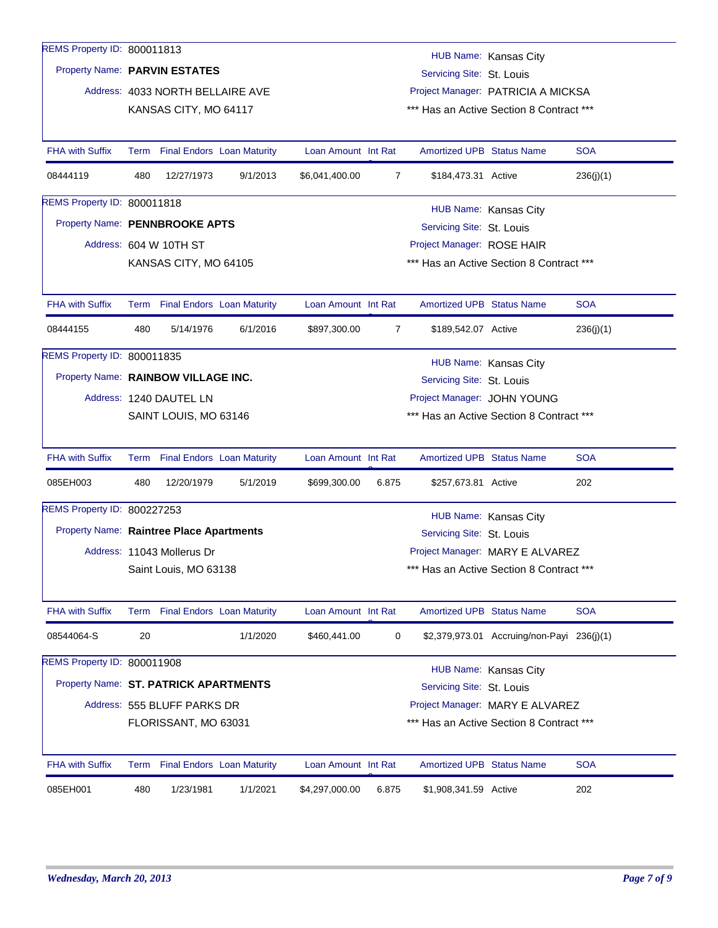| REMS Property ID: 800011813              |                                                            |                                  |          |                     |                |                                  | HUB Name: Kansas City                      |            |  |  |
|------------------------------------------|------------------------------------------------------------|----------------------------------|----------|---------------------|----------------|----------------------------------|--------------------------------------------|------------|--|--|
|                                          | Property Name: PARVIN ESTATES<br>Servicing Site: St. Louis |                                  |          |                     |                |                                  |                                            |            |  |  |
|                                          |                                                            | Address: 4033 NORTH BELLAIRE AVE |          |                     |                |                                  | Project Manager: PATRICIA A MICKSA         |            |  |  |
|                                          |                                                            | KANSAS CITY, MO 64117            |          |                     |                |                                  | *** Has an Active Section 8 Contract ***   |            |  |  |
|                                          |                                                            |                                  |          |                     |                |                                  |                                            |            |  |  |
| <b>FHA with Suffix</b>                   |                                                            | Term Final Endors Loan Maturity  |          | Loan Amount Int Rat |                | <b>Amortized UPB Status Name</b> |                                            | <b>SOA</b> |  |  |
| 08444119                                 | 480                                                        | 12/27/1973                       | 9/1/2013 | \$6,041,400.00      | 7              | \$184,473.31 Active              |                                            | 236(i)(1)  |  |  |
| REMS Property ID: 800011818              |                                                            |                                  |          |                     |                |                                  | HUB Name: Kansas City                      |            |  |  |
| Property Name: PENNBROOKE APTS           |                                                            |                                  |          |                     |                | Servicing Site: St. Louis        |                                            |            |  |  |
|                                          |                                                            | Address: 604 W 10TH ST           |          |                     |                | Project Manager: ROSE HAIR       |                                            |            |  |  |
|                                          |                                                            | KANSAS CITY, MO 64105            |          |                     |                |                                  | *** Has an Active Section 8 Contract ***   |            |  |  |
|                                          |                                                            |                                  |          |                     |                |                                  |                                            |            |  |  |
| <b>FHA with Suffix</b>                   |                                                            | Term Final Endors Loan Maturity  |          | Loan Amount Int Rat |                | Amortized UPB Status Name        |                                            | <b>SOA</b> |  |  |
| 08444155                                 | 480                                                        | 5/14/1976                        | 6/1/2016 | \$897,300.00        | $\overline{7}$ | \$189,542.07 Active              |                                            | 236(j)(1)  |  |  |
| REMS Property ID: 800011835              |                                                            |                                  |          |                     |                |                                  |                                            |            |  |  |
| Property Name: RAINBOW VILLAGE INC.      |                                                            |                                  |          |                     |                | Servicing Site: St. Louis        | HUB Name: Kansas City                      |            |  |  |
|                                          |                                                            | Address: 1240 DAUTEL LN          |          |                     |                | Project Manager: JOHN YOUNG      |                                            |            |  |  |
|                                          |                                                            | SAINT LOUIS, MO 63146            |          |                     |                |                                  | *** Has an Active Section 8 Contract ***   |            |  |  |
|                                          |                                                            |                                  |          |                     |                |                                  |                                            |            |  |  |
| <b>FHA with Suffix</b>                   |                                                            | Term Final Endors Loan Maturity  |          | Loan Amount Int Rat |                | <b>Amortized UPB Status Name</b> |                                            | <b>SOA</b> |  |  |
| 085EH003                                 | 480                                                        | 12/20/1979                       | 5/1/2019 | \$699,300.00        | 6.875          | \$257,673.81 Active              |                                            | 202        |  |  |
| REMS Property ID: 800227253              |                                                            |                                  |          |                     |                |                                  | <b>HUB Name: Kansas City</b>               |            |  |  |
| Property Name: Raintree Place Apartments |                                                            |                                  |          |                     |                | Servicing Site: St. Louis        |                                            |            |  |  |
|                                          |                                                            | Address: 11043 Mollerus Dr       |          |                     |                |                                  | Project Manager: MARY E ALVAREZ            |            |  |  |
|                                          |                                                            | Saint Louis, MO 63138            |          |                     |                |                                  | *** Has an Active Section 8 Contract ***   |            |  |  |
|                                          |                                                            |                                  |          |                     |                |                                  |                                            |            |  |  |
| <b>FHA with Suffix</b>                   |                                                            | Term Final Endors Loan Maturity  |          | Loan Amount Int Rat |                | <b>Amortized UPB Status Name</b> |                                            | <b>SOA</b> |  |  |
| 08544064-S                               | 20                                                         |                                  | 1/1/2020 | \$460,441.00        | 0              |                                  | \$2,379,973.01 Accruing/non-Payi 236(j)(1) |            |  |  |
| REMS Property ID: 800011908              |                                                            |                                  |          |                     |                |                                  |                                            |            |  |  |
| Property Name: ST. PATRICK APARTMENTS    |                                                            |                                  |          |                     |                | Servicing Site: St. Louis        | HUB Name: Kansas City                      |            |  |  |
|                                          |                                                            | Address: 555 BLUFF PARKS DR      |          |                     |                |                                  | Project Manager: MARY E ALVAREZ            |            |  |  |
|                                          |                                                            | FLORISSANT, MO 63031             |          |                     |                |                                  | *** Has an Active Section 8 Contract ***   |            |  |  |
|                                          |                                                            |                                  |          |                     |                |                                  |                                            |            |  |  |
| <b>FHA with Suffix</b>                   |                                                            | Term Final Endors Loan Maturity  |          | Loan Amount Int Rat |                | <b>Amortized UPB Status Name</b> |                                            | <b>SOA</b> |  |  |
| 085EH001                                 | 480                                                        | 1/23/1981                        | 1/1/2021 | \$4,297,000.00      | 6.875          | \$1,908,341.59 Active            |                                            | 202        |  |  |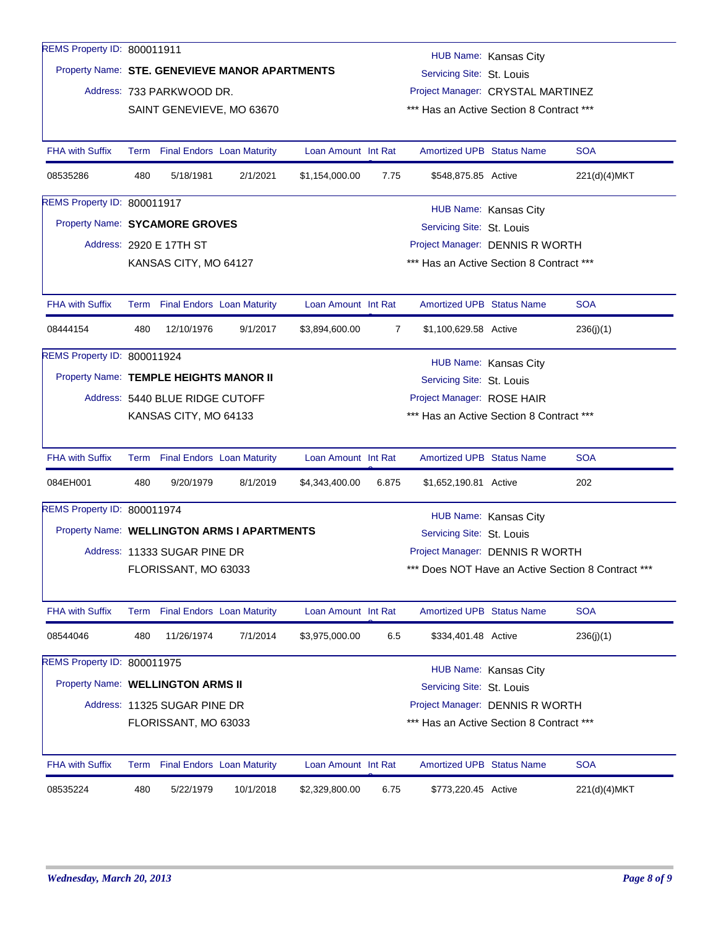| REMS Property ID: 800011911            |      |                                 |                                                |                     |       |                                                              | HUB Name: Kansas City |                                                |  |  |
|----------------------------------------|------|---------------------------------|------------------------------------------------|---------------------|-------|--------------------------------------------------------------|-----------------------|------------------------------------------------|--|--|
|                                        |      |                                 | Property Name: STE. GENEVIEVE MANOR APARTMENTS |                     |       | Servicing Site: St. Louis                                    |                       |                                                |  |  |
|                                        |      | Address: 733 PARKWOOD DR.       |                                                |                     |       | Project Manager: CRYSTAL MARTINEZ                            |                       |                                                |  |  |
|                                        |      |                                 | SAINT GENEVIEVE, MO 63670                      |                     |       | *** Has an Active Section 8 Contract ***                     |                       |                                                |  |  |
|                                        |      |                                 |                                                |                     |       |                                                              |                       |                                                |  |  |
| <b>FHA with Suffix</b>                 |      | Term Final Endors Loan Maturity |                                                | Loan Amount Int Rat |       | <b>Amortized UPB Status Name</b>                             |                       | <b>SOA</b>                                     |  |  |
| 08535286                               | 480  | 5/18/1981                       | 2/1/2021                                       | \$1,154,000.00      | 7.75  | \$548,875.85 Active                                          |                       | 221(d)(4)MKT                                   |  |  |
| REMS Property ID: 800011917            |      |                                 |                                                |                     |       |                                                              | HUB Name: Kansas City |                                                |  |  |
| Property Name: SYCAMORE GROVES         |      |                                 |                                                |                     |       | Servicing Site: St. Louis                                    |                       |                                                |  |  |
|                                        |      | Address: 2920 E 17TH ST         |                                                |                     |       | Project Manager: DENNIS R WORTH                              |                       |                                                |  |  |
|                                        |      | KANSAS CITY, MO 64127           |                                                |                     |       | *** Has an Active Section 8 Contract ***                     |                       |                                                |  |  |
|                                        |      |                                 |                                                |                     |       |                                                              |                       |                                                |  |  |
| <b>FHA with Suffix</b>                 |      | Term Final Endors Loan Maturity |                                                | Loan Amount Int Rat |       | <b>Amortized UPB Status Name</b>                             |                       | <b>SOA</b>                                     |  |  |
| 08444154                               | 480  | 12/10/1976                      | 9/1/2017                                       | \$3,894,600.00      | 7     | \$1,100,629.58 Active                                        |                       | 236(j)(1)                                      |  |  |
| REMS Property ID: 800011924            |      |                                 |                                                |                     |       |                                                              |                       |                                                |  |  |
| Property Name: TEMPLE HEIGHTS MANOR II |      |                                 |                                                |                     |       | Servicing Site: St. Louis                                    | HUB Name: Kansas City |                                                |  |  |
|                                        |      | Address: 5440 BLUE RIDGE CUTOFF |                                                |                     |       | Project Manager: ROSE HAIR                                   |                       |                                                |  |  |
|                                        |      | KANSAS CITY, MO 64133           |                                                |                     |       | *** Has an Active Section 8 Contract ***                     |                       |                                                |  |  |
|                                        |      |                                 |                                                |                     |       |                                                              |                       |                                                |  |  |
| <b>FHA with Suffix</b>                 |      | Term Final Endors Loan Maturity |                                                | Loan Amount Int Rat |       | <b>Amortized UPB Status Name</b>                             |                       | <b>SOA</b>                                     |  |  |
| 084EH001                               | 480  | 9/20/1979                       | 8/1/2019                                       | \$4,343,400.00      | 6.875 | \$1,652,190.81 Active                                        |                       | 202                                            |  |  |
| REMS Property ID: 800011974            |      |                                 |                                                |                     |       |                                                              | HUB Name: Kansas City |                                                |  |  |
|                                        |      |                                 | Property Name: WELLINGTON ARMS I APARTMENTS    |                     |       | Servicing Site: St. Louis                                    |                       |                                                |  |  |
|                                        |      | Address: 11333 SUGAR PINE DR    |                                                |                     |       | Project Manager: DENNIS R WORTH                              |                       |                                                |  |  |
|                                        |      | FLORISSANT, MO 63033            |                                                |                     |       | ***                                                          |                       | Does NOT Have an Active Section 8 Contract *** |  |  |
|                                        |      |                                 |                                                |                     |       |                                                              |                       |                                                |  |  |
| <b>FHA with Suffix</b>                 | Term |                                 | <b>Final Endors Loan Maturity</b>              | Loan Amount Int Rat |       | Amortized UPB Status Name                                    |                       | <b>SOA</b>                                     |  |  |
| 08544046                               | 480  | 11/26/1974                      | 7/1/2014                                       | \$3,975,000.00      | 6.5   | \$334,401.48 Active                                          |                       | 236(j)(1)                                      |  |  |
| REMS Property ID: 800011975            |      |                                 |                                                |                     |       |                                                              |                       |                                                |  |  |
| Property Name: WELLINGTON ARMS II      |      |                                 |                                                |                     |       |                                                              | HUB Name: Kansas City |                                                |  |  |
|                                        |      | Address: 11325 SUGAR PINE DR    |                                                |                     |       | Servicing Site: St. Louis<br>Project Manager: DENNIS R WORTH |                       |                                                |  |  |
|                                        |      |                                 |                                                |                     |       | *** Has an Active Section 8 Contract ***                     |                       |                                                |  |  |
|                                        |      | FLORISSANT, MO 63033            |                                                |                     |       |                                                              |                       |                                                |  |  |
| <b>FHA with Suffix</b>                 |      | Term Final Endors Loan Maturity |                                                | Loan Amount Int Rat |       | Amortized UPB Status Name                                    |                       | <b>SOA</b>                                     |  |  |
| 08535224                               | 480  | 5/22/1979                       | 10/1/2018                                      | \$2,329,800.00      | 6.75  | \$773,220.45 Active                                          |                       | 221(d)(4)MKT                                   |  |  |